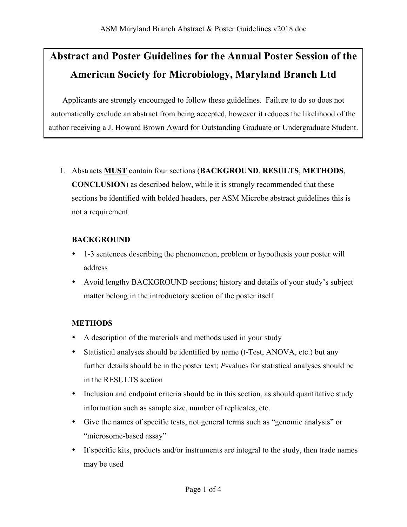# **Abstract and Poster Guidelines for the Annual Poster Session of the American Society for Microbiology, Maryland Branch Ltd**

Applicants are strongly encouraged to follow these guidelines. Failure to do so does not automatically exclude an abstract from being accepted, however it reduces the likelihood of the author receiving a J. Howard Brown Award for Outstanding Graduate or Undergraduate Student.

1. Abstracts **MUST** contain four sections (**BACKGROUND**, **RESULTS**, **METHODS**, **CONCLUSION**) as described below, while it is strongly recommended that these sections be identified with bolded headers, per ASM Microbe abstract guidelines this is not a requirement

### **BACKGROUND**

- 1-3 sentences describing the phenomenon, problem or hypothesis your poster will address
- Avoid lengthy BACKGROUND sections; history and details of your study's subject matter belong in the introductory section of the poster itself

## **METHODS**

- A description of the materials and methods used in your study
- Statistical analyses should be identified by name (t-Test, ANOVA, etc.) but any further details should be in the poster text; *P*-values for statistical analyses should be in the RESULTS section
- Inclusion and endpoint criteria should be in this section, as should quantitative study information such as sample size, number of replicates, etc.
- Give the names of specific tests, not general terms such as "genomic analysis" or "microsome-based assay"
- If specific kits, products and/or instruments are integral to the study, then trade names may be used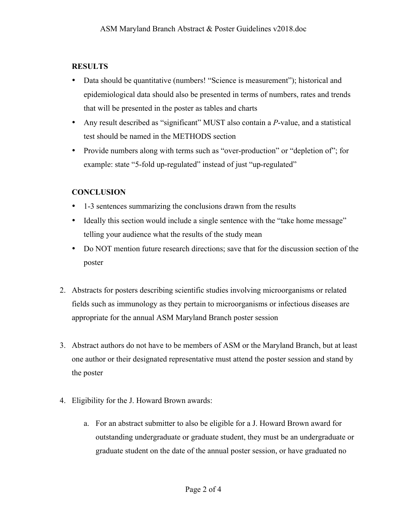### **RESULTS**

- Data should be quantitative (numbers! "Science is measurement"); historical and epidemiological data should also be presented in terms of numbers, rates and trends that will be presented in the poster as tables and charts
- Any result described as "significant" MUST also contain a *P*-value, and a statistical test should be named in the METHODS section
- Provide numbers along with terms such as "over-production" or "depletion of"; for example: state "5-fold up-regulated" instead of just "up-regulated"

### **CONCLUSION**

- 1-3 sentences summarizing the conclusions drawn from the results
- Ideally this section would include a single sentence with the "take home message" telling your audience what the results of the study mean
- Do NOT mention future research directions; save that for the discussion section of the poster
- 2. Abstracts for posters describing scientific studies involving microorganisms or related fields such as immunology as they pertain to microorganisms or infectious diseases are appropriate for the annual ASM Maryland Branch poster session
- 3. Abstract authors do not have to be members of ASM or the Maryland Branch, but at least one author or their designated representative must attend the poster session and stand by the poster
- 4. Eligibility for the J. Howard Brown awards:
	- a. For an abstract submitter to also be eligible for a J. Howard Brown award for outstanding undergraduate or graduate student, they must be an undergraduate or graduate student on the date of the annual poster session, or have graduated no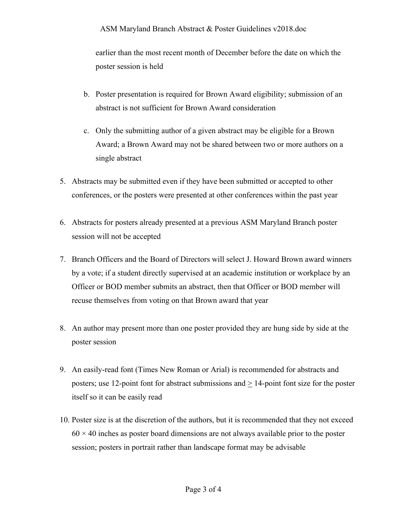#### ASM Maryland Branch Abstract & Poster Guidelines v2018.doc

earlier than the most recent month of December before the date on which the poster session is held

- b. Poster presentation is required for Brown Award eligibility; submission of an abstract is not sufficient for Brown Award consideration
- c. Only the submitting author of a given abstract may be eligible for a Brown Award; a Brown Award may not be shared between two or more authors on a single abstract
- 5. Abstracts may be submitted even if they have been submitted or accepted to other conferences, or the posters were presented at other conferences within the past year
- 6. Abstracts for posters already presented at a previous ASM Maryland Branch poster session will not be accepted
- 7. Branch Officers and the Board of Directors will select J. Howard Brown award winners by a vote; if a student directly supervised at an academic institution or workplace by an Officer or BOD member submits an abstract, then that Officer or BOD member will recuse themselves from voting on that Brown award that year
- 8. An author may present more than one poster provided they are hung side by side at the poster session
- 9. An easily-read font (Times New Roman or Arial) is recommended for abstracts and posters; use 12-point font for abstract submissions and > 14-point font size for the poster itself so it can be easily read
- 10. Poster size is at the discretion of the authors, but it is recommended that they not exceed  $60 \times 40$  inches as poster board dimensions are not always available prior to the poster session; posters in portrait rather than landscape format may be advisable